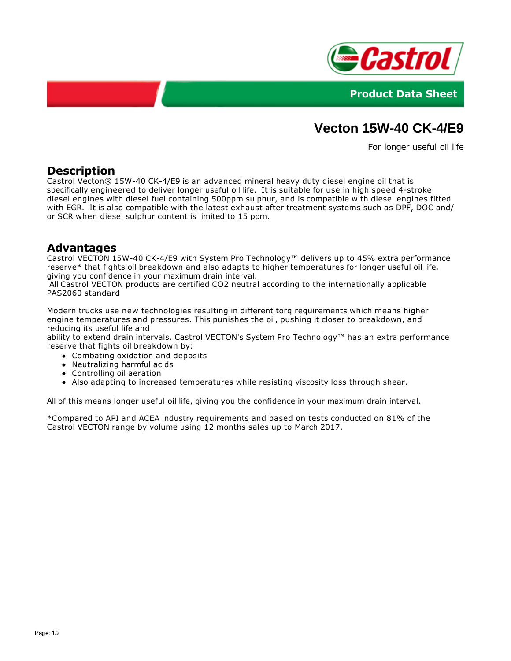



# **Vecton 15W-40 CK-4/E9**

For longer useful oil life

#### **Description**

Castrol Vecton® 15W-40 CK-4/E9 is an advanced mineral heavy duty diesel engine oil that is specifically engineered to deliver longer useful oil life. It is suitable for use in high speed 4-stroke diesel engines with diesel fuel containing 500ppm sulphur, and is compatible with diesel engines fitted with EGR. It is also compatible with the latest exhaust after treatment systems such as DPF, DOC and/ or SCR when diesel sulphur content is limited to 15 ppm.

#### **Advantages**

Castrol VECTON 15W-40 CK-4/E9 with System Pro Technology™ delivers up to 45% extra performance reserve\* that fights oil breakdown and also adapts to higher temperatures for longer useful oil life, giving you confidence in your maximum drain interval.

All Castrol VECTON products are certified CO2 neutral according to the internationally applicable PAS2060 standard

Modern trucks use new technologies resulting in different torq requirements which means higher engine temperatures and pressures. This punishes the oil, pushing it closer to breakdown, and reducing its useful life and

ability to extend drain intervals. Castrol VECTON's System Pro Technology™ has an extra performance reserve that fights oil breakdown by:

- Combating oxidation and deposits
- Neutralizing harmful acids
- Controlling oil aeration
- Also adapting to increased temperatures while resisting viscosity loss through shear.

All of this means longer useful oil life, giving you the confidence in your maximum drain interval.

\*Compared to API and ACEA industry requirements and based on tests conducted on 81% of the Castrol VECTON range by volume using 12 months sales up to March 2017.